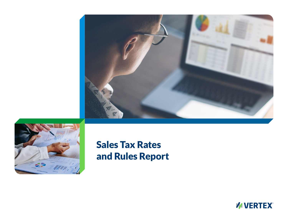



# Sales Tax Rates and Rules Report

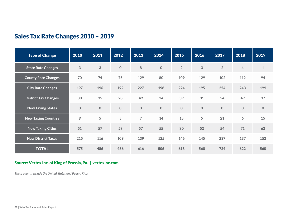### Sales Tax Rate Changes 2010 – 2019

| <b>Type of Change</b>       | 2010        | 2011         | 2012        | 2013           | 2014             | 2015           | 2016           | 2017           | 2018           | 2019           |
|-----------------------------|-------------|--------------|-------------|----------------|------------------|----------------|----------------|----------------|----------------|----------------|
| <b>State Rate Changes</b>   | 3           | 3            | $\mathbf 0$ | 8              | $\boldsymbol{0}$ | $\overline{2}$ | $\mathfrak{S}$ | $\overline{2}$ | $\overline{4}$ | $\mathbf 1$    |
| <b>County Rate Changes</b>  | 70          | 74           | 75          | 129            | 80               | 109            | 129            | 102            | 112            | 94             |
| <b>City Rate Changes</b>    | 197         | 196          | 192         | 227            | 198              | 224            | 195            | 254            | 243            | 199            |
| <b>District Tax Changes</b> | 30          | 35           | 28          | 49             | 34               | 39             | 31             | 54             | 49             | 37             |
| <b>New Taxing States</b>    | $\mathbf 0$ | $\mathbf{0}$ | $\mathbf 0$ | $\mathbf 0$    | $\pmb{0}$        | $\mathbf 0$    | $\mathbf 0$    | $\mathbf 0$    | $\mathbf 0$    | $\overline{0}$ |
| <b>New Taxing Counties</b>  | 9           | 5            | 3           | $\overline{7}$ | 14               | 18             | 5              | 21             | 6              | 15             |
| <b>New Taxing Cities</b>    | 51          | 57           | 59          | 57             | 55               | 80             | 52             | 54             | 71             | 62             |
| <b>New District Taxes</b>   | 215         | 116          | 109         | 139            | 125              | 146            | 145            | 237            | 137            | 152            |
| <b>TOTAL</b>                | 575         | 486          | 466         | 616            | 506              | 618            | 560            | 724            | 622            | 560            |

### Source: Vertex Inc. of King of Prussia, Pa. | vertexinc.com

*These counts include the United States and Puerto Rico.*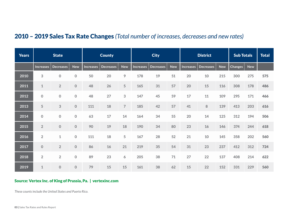### 2010 – 2019 Sales Tax Rate Changes *(Total number of increases, decreases and new rates)*

| <b>Years</b> | <b>State</b>     |                     | <b>County</b> |           |                  | <b>City</b>    |                  |                  | <b>District</b> |                  |                  | <b>Sub Totals</b> |                | <b>Total</b> |     |
|--------------|------------------|---------------------|---------------|-----------|------------------|----------------|------------------|------------------|-----------------|------------------|------------------|-------------------|----------------|--------------|-----|
|              | <b>Increases</b> | <b>Decreases</b>    | <b>New</b>    | Increases | <b>Decreases</b> | <b>New</b>     | <b>Increases</b> | <b>Decreases</b> | <b>New</b>      | <b>Increases</b> | <b>Decreases</b> | <b>New</b>        | <b>Changes</b> | <b>New</b>   |     |
| 2010         | 3                | $\boldsymbol{0}$    | $\mathbf 0$   | 50        | 20               | 9              | 178              | 19               | 51              | 20               | 10               | 215               | 300            | 275          | 575 |
| 2011         | $\mathbf{1}$     | $\overline{2}$      | $\mathbf 0$   | 48        | 26               | 5              | 165              | 31               | 57              | 20               | 15               | 116               | 308            | 178          | 486 |
| 2012         | $\mathbf 0$      | $\mathbf 0$         | $\mathbf 0$   | 48        | 27               | 3              | 147              | 45               | 59              | 17               | 11               | 109               | 295            | 171          | 466 |
| 2013         | 5                | 3                   | $\mathbf 0$   | 111       | 18               | $\overline{7}$ | 185              | 42               | 57              | 41               | $\, 8$           | 139               | 413            | 203          | 616 |
| 2014         | $\pmb{0}$        | $\mathsf{O}\xspace$ | $\pmb{0}$     | 63        | 17               | 14             | 164              | 34               | 55              | 20               | 14               | 125               | 312            | 194          | 506 |
| 2015         | $\overline{2}$   | $\overline{0}$      | $\mathbf 0$   | 90        | 19               | 18             | 190              | 34               | 80              | 23               | 16               | 146               | 374            | 244          | 618 |
| 2016         | $\overline{2}$   | $\mathbf{1}$        | $\pmb{0}$     | 111       | 18               | 5              | 167              | 28               | 52              | 21               | 10               | 145               | 358            | 202          | 560 |
| 2017         | $\mathbf 0$      | $\overline{2}$      | $\mathbf 0$   | 86        | 16               | 21             | 219              | 35               | 54              | 31               | 23               | 237               | 412            | 312          | 724 |
| 2018         | $\overline{2}$   | $\overline{2}$      | $\mathbf 0$   | 89        | 23               | 6              | 205              | 38               | 71              | 27               | 22               | 137               | 408            | 214          | 622 |
| 2019         | $\mathbf 1$      | $\mathsf{O}\xspace$ | $\mathbf 0$   | 79        | 15               | 15             | 161              | 38               | 62              | 15               | 22               | 152               | 331            | 229          | 560 |

#### Source: Vertex Inc. of King of Prussia, Pa. | vertexinc.com

*These counts include the United States and Puerto Rico.*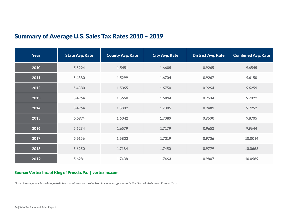## Summary of Average U.S. Sales Tax Rates 2010 – 2019

| <b>Year</b> | <b>State Avg. Rate</b> | <b>County Avg. Rate</b> | <b>City Avg. Rate</b> | <b>District Avg. Rate</b> | <b>Combined Avg. Rate</b> |
|-------------|------------------------|-------------------------|-----------------------|---------------------------|---------------------------|
| 2010        | 5.5224                 | 1.5451                  | 1.6605                | 0.9265                    | 9.6545                    |
| 2011        | 5.4880                 | 1.5299                  | 1.6704                | 0.9267                    | 9.6150                    |
| 2012        | 5.4880                 | 1.5365                  | 1.6750                | 0.9264                    | 9.6259                    |
| 2013        | 5.4964                 | 1.5660                  | 1.6894                | 0.9504                    | 9.7022                    |
| 2014        | 5.4964                 | 1.5802                  | 1.7005                | 0.9481                    | 9.7252                    |
| 2015        | 5.5974                 | 1.6042                  | 1.7089                | 0.9600                    | 9.8705                    |
| 2016        | 5.6234                 | 1.6579                  | 1.7179                | 0.9652                    | 9.9644                    |
| 2017        | 5.6156                 | 1.6833                  | 1.7319                | 0.9706                    | 10.0014                   |
| 2018        | 5.6250                 | 1.7184                  | 1.7450                | 0.9779                    | 10.0663                   |
| 2019        | 5.6281                 | 1.7438                  | 1.7463                | 0.9807                    | 10.0989                   |

#### Source: Vertex Inc. of King of Prussia, Pa. | vertexinc.com

*Note: Averages are based on jurisdictions that impose a sales tax. These averages include the United States and Puerto Rico.*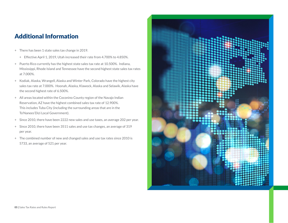### Additional Information

- + There has been 1 state sales tax change in 2019.
	- + Effective April 1, 2019, Utah increased their rate from 4.700% to 4.850%.
- + Puerto Rico currently has the highest state sales tax rate at 10.500%. Indiana, Mississippi, Rhode Island and Tennessee have the second highest state sales tax rates at 7.000%.
- + Kodiak, Alaska, Wrangell, Alaska and Winter Park, Colorado have the highest city sales tax rate at 7.000%. Hoonah, Alaska, Klawock, Alaska and Selawik, Alaska have the second highest rate of 6.500%.
- + All areas located within the Coconino County region of the Navajo Indian Reservation, AZ have the highest combined sales tax rate of 12.900%. This includes Tuba City (including the surrounding areas that are in the To'Nanees'Dizi Local Government).
- + Since 2010, there have been 2222 new sales and use taxes, an average 202 per year.
- + Since 2010, there have been 3511 sales and use tax changes, an average of 319 per year.
- + The combined number of new and changed sales and use tax rates since 2010 is 5733, an average of 521 per year.